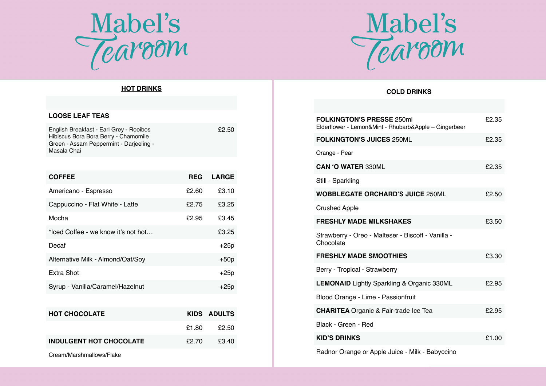

# Mabel's<br>Tearoom

## **HOT DRINKS**

| <b>LOOSE LEAF TEAS</b>                                                                                                                    |            |              |
|-------------------------------------------------------------------------------------------------------------------------------------------|------------|--------------|
| English Breakfast - Earl Grey - Rooibos<br>Hibiscus Bora Bora Berry - Chamomile<br>Green - Assam Peppermint - Darjeeling -<br>Masala Chai |            | £2.50        |
|                                                                                                                                           |            |              |
| <b>COFFEE</b>                                                                                                                             | <b>REG</b> | <b>LARGE</b> |
| Americano - Espresso                                                                                                                      | £2.60      | £3.10        |
| Cappuccino - Flat White - Latte                                                                                                           | £2.75      | £3.25        |
| Mocha                                                                                                                                     | £2.95      | £3.45        |
| *lced Coffee - we know it's not hot                                                                                                       |            | £3.25        |
| Decaf                                                                                                                                     |            | $+25p$       |
| Alternative Milk - Almond/Oat/Soy                                                                                                         |            | $+50p$       |
| Extra Shot                                                                                                                                |            | $+25p$       |
| Syrup - Vanilla/Caramel/Hazelnut                                                                                                          |            | $+25p$       |
|                                                                                                                                           |            |              |
| <b>HOT CHOCOLATE</b>                                                                                                                      |            | KIDS ADULTS  |
|                                                                                                                                           | £1.80      | £2.50        |
| <b>INDULGENT HOT CHOCOLATE</b>                                                                                                            | £2.70      | £3.40        |
|                                                                                                                                           |            |              |

Cream/Marshmallows/Flake

## **COLD DRINKS**

| <b>FOLKINGTON'S PRESSE 250ml</b><br>Elderflower - Lemon&Mint - Rhubarb&Apple - Gingerbeer | £2.35 |
|-------------------------------------------------------------------------------------------|-------|
| <b>FOLKINGTON'S JUICES 250ML</b>                                                          | £2.35 |
| Orange - Pear                                                                             |       |
| <b>CAN 'O WATER 330ML</b>                                                                 | £2.35 |
| Still - Sparkling                                                                         |       |
| <b>WOBBLEGATE ORCHARD'S JUICE 250ML</b>                                                   | £2.50 |
| <b>Crushed Apple</b>                                                                      |       |
| <b>FRESHLY MADE MILKSHAKES</b>                                                            | £3.50 |
| Strawberry - Oreo - Malteser - Biscoff - Vanilla -<br>Chocolate                           |       |
| <b>FRESHLY MADE SMOOTHIES</b>                                                             | £3.30 |
| Berry - Tropical - Strawberry                                                             |       |
| <b>LEMONAID</b> Lightly Sparkling & Organic 330ML                                         | £2.95 |
| Blood Orange - Lime - Passionfruit                                                        |       |
| <b>CHARITEA</b> Organic & Fair-trade Ice Tea                                              | £2.95 |
| Black - Green - Red                                                                       |       |
| <b>KID'S DRINKS</b>                                                                       | £1.00 |
| Radnor Orange or Apple Juice - Milk - Babyccino                                           |       |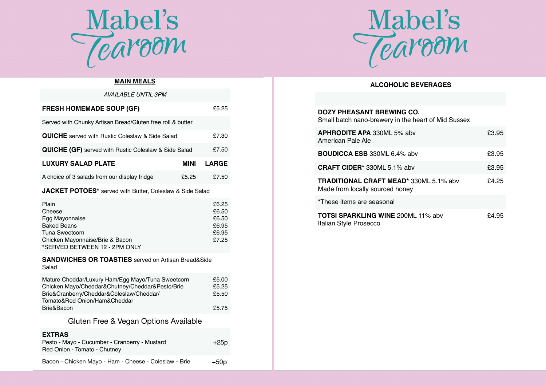

# **MAIN MEALS**

| AVAILABLE UNTIL 3PM                                         |       |              |
|-------------------------------------------------------------|-------|--------------|
| <b>FRESH HOMEMADE SOUP (GF)</b>                             |       | £5.25        |
| Served with Chunky Artisan Bread/Gluten free roll & butter  |       |              |
| <b>QUICHE</b> served with Rustic Coleslaw & Side Salad      |       | £7.30        |
| <b>QUICHE (GF)</b> served with Rustic Coleslaw & Side Salad |       | £7.50        |
| <b>LUXURY SALAD PLATE</b>                                   | MINI  | <b>LARGE</b> |
| A choice of 3 salads from our display fridge                | £5.25 | £7.50        |
|                                                             |       |              |

## **JACKET POTOES\*** served with Butter, Coleslaw & Side Salad

| Plain                           | £6.25 |
|---------------------------------|-------|
| Cheese                          | £6.50 |
| Egg Mayonnaise                  | £6.50 |
| <b>Baked Beans</b>              | £6.95 |
| Tuna Sweetcorn                  | £6.95 |
| Chicken Mayonnaise/Brie & Bacon | £7.25 |
| *SERVED BETWEEN 12 - 2PM ONLY   |       |

### **SANDWICHES OR TOASTIES** served on Artisan Bread&Side Salad

| Mature Cheddar/Luxury Ham/Egg Mayo/Tuna Sweetcorn | £5.00 |
|---------------------------------------------------|-------|
| Chicken Mayo/Cheddar&Chutney/Cheddar&Pesto/Brie   | £5.25 |
| Brie&Cranberry/Cheddar&Coleslaw/Cheddar/          | £5.50 |
| Tomato&Red Onion/Ham&Cheddar                      |       |
| Brie&Bacon                                        | £5.75 |

# Gluten Free & Vegan Options Available

#### **EXTRAS**

| Pesto - Mayo - Cucumber - Cranberry - Mustard<br>Red Onion - Tomato - Chutney | $+25p$ |
|-------------------------------------------------------------------------------|--------|
| Bacon - Chicken Mayo - Ham - Cheese - Coleslaw - Brie                         | $+50p$ |



# **ALCOHOLIC BEVERAGES**

| <b>DOZY PHEASANT BREWING CO.</b><br>Small batch nano-brewery in the heart of Mid Sussex |       |
|-----------------------------------------------------------------------------------------|-------|
| <b>APHRODITE APA 330ML 5% abv</b><br>American Pale Ale                                  | £3.95 |
| <b>BOUDICCA ESB 330ML 6.4% abv</b>                                                      | £3.95 |
| CRAFT CIDER* 330ML 5.1% abv                                                             | £3.95 |
| TRADITIONAL CRAFT MEAD* 330ML 5.1% abv<br>Made from locally sourced honey               | £4.25 |
| *These items are seasonal                                                               |       |
| <b>TOTSI SPARKLING WINE 200ML 11% abv</b><br>Italian Style Prosecco                     | £4.95 |